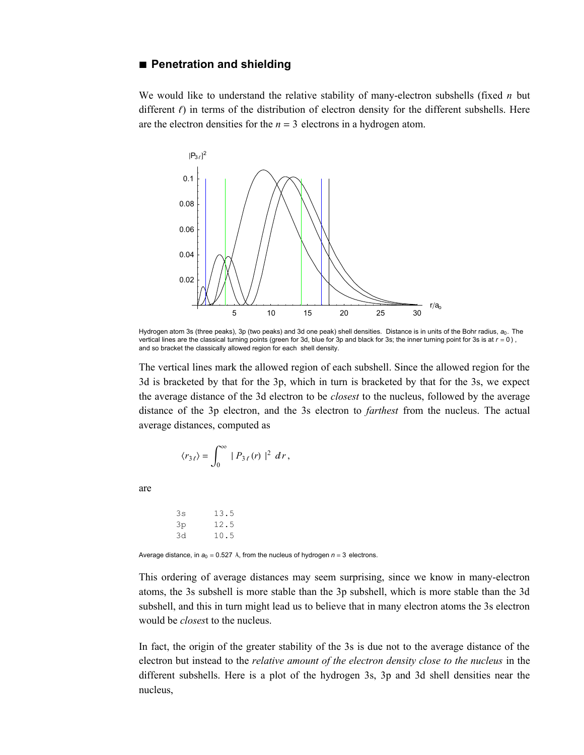## **à Penetration and shielding**

We would like to understand the relative stability of many-electron subshells (fixed *n* but different  $\ell$ ) in terms of the distribution of electron density for the different subshells. Here are the electron densities for the  $n = 3$  electrons in a hydrogen atom.



Hydrogen atom 3s (three peaks), 3p (two peaks) and 3d one peak) shell densities. Distance is in units of the Bohr radius,  $a_0$ . The vertical lines are the classical turning points (green for 3d, blue for 3p and black for 3s; the inner turning point for 3s is at  $r = 0$ ), and so bracket the classically allowed region for each shell density.

The vertical lines mark the allowed region of each subshell. Since the allowed region for the 3d is bracketed by that for the 3p, which in turn is bracketed by that for the 3s, we expect the average distance of the 3d electron to be *closest* to the nucleus, followed by the average distance of the 3p electron, and the 3s electron to *farthest* from the nucleus. The actual average distances, computed as

$$
\langle r_{3\ell}\rangle=\int_0^\infty\mid P_{3\ell}\left(r\right)\mid^2\,dr\,,
$$

are

3s 13.5 3p 12.5 3d 10.5

Average distance, in  $a_0 = 0.527$  Å, from the nucleus of hydrogen  $n = 3$  electrons.

This ordering of average distances may seem surprising, since we know in many-electron atoms, the 3s subshell is more stable than the 3p subshell, which is more stable than the 3d subshell, and this in turn might lead us to believe that in many electron atoms the 3s electron would be *closes*t to the nucleus.

In fact, the origin of the greater stability of the 3s is due not to the average distance of the electron but instead to the *relative amount of the electron density close to the nucleus* in the different subshells. Here is a plot of the hydrogen 3s, 3p and 3d shell densities near the nucleus,